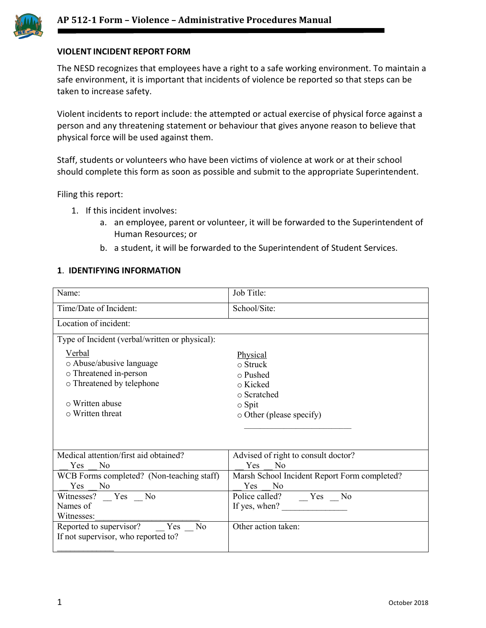

## **VIOLENT INCIDENT REPORT FORM**

The NESD recognizes that employees have a right to a safe working environment. To maintain a safe environment, it is important that incidents of violence be reported so that steps can be taken to increase safety.

Violent incidents to report include: the attempted or actual exercise of physical force against a person and any threatening statement or behaviour that gives anyone reason to believe that physical force will be used against them.

Staff, students or volunteers who have been victims of violence at work or at their school should complete this form as soon as possible and submit to the appropriate Superintendent.

Filing this report:

- 1. If this incident involves:
	- a. an employee, parent or volunteer, it will be forwarded to the Superintendent of Human Resources; or
	- b. a student, it will be forwarded to the Superintendent of Student Services.

#### **1**. **IDENTIFYING INFORMATION**

| Name:                                                                                                                                        | Job Title:                                                                                                          |
|----------------------------------------------------------------------------------------------------------------------------------------------|---------------------------------------------------------------------------------------------------------------------|
| Time/Date of Incident:                                                                                                                       | School/Site:                                                                                                        |
| Location of incident:                                                                                                                        |                                                                                                                     |
| Type of Incident (verbal/written or physical):                                                                                               |                                                                                                                     |
| Verbal<br>o Abuse/abusive language<br>o Threatened in-person<br>o Threatened by telephone<br>$\circ$ Written abuse<br>$\circ$ Written threat | Physical<br>$\circ$ Struck<br>$\circ$ Pushed<br>○ Kicked<br>o Scratched<br>$\circ$ Spit<br>o Other (please specify) |
| Medical attention/first aid obtained?<br>Yes<br>No                                                                                           | Advised of right to consult doctor?<br>Yes<br>N <sub>o</sub>                                                        |
| WCB Forms completed? (Non-teaching staff)<br>Yes<br>N <sub>o</sub>                                                                           | Marsh School Incident Report Form completed?<br><b>Yes</b><br>N <sub>0</sub>                                        |
| Witnesses? Yes No                                                                                                                            | Police called? __ Yes __ No                                                                                         |
| Names of                                                                                                                                     | If yes, when?                                                                                                       |
| Witnesses:                                                                                                                                   |                                                                                                                     |
| Reported to supervisor?<br>Yes No<br>If not supervisor, who reported to?                                                                     | Other action taken:                                                                                                 |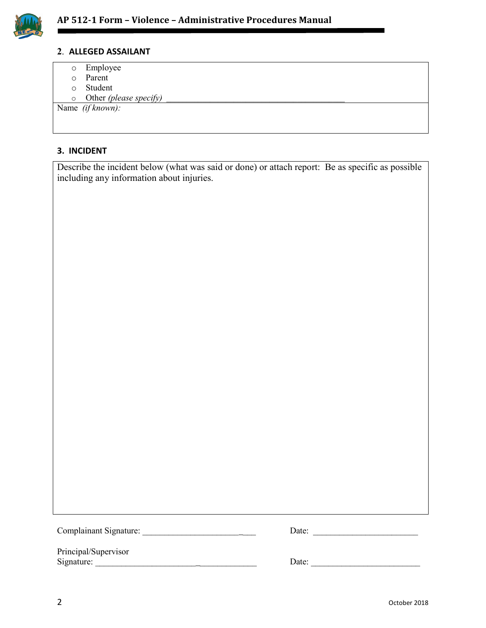

#### **2**. **ALLEGED ASSAILANT**

- o Employee
- o Parent
- o Student
- o Other *(please specify)*

Name *(if known):*

### **3. INCIDENT**

Describe the incident below (what was said or done) or attach report: Be as specific as possible including any information about injuries.

Complainant Signature: \_\_\_\_\_\_\_\_\_\_\_\_\_\_\_\_\_\_\_\_\_\_ \_\_\_ Date: \_\_\_\_\_\_\_\_\_\_\_\_\_\_\_\_\_\_\_\_\_\_\_\_

| ate: |  |  |  |  |
|------|--|--|--|--|
|      |  |  |  |  |

Principal/Supervisor

Signature: \_\_\_\_\_\_\_\_\_\_\_\_\_\_\_\_\_\_\_\_\_\_\_ \_\_\_\_\_\_\_\_\_\_\_\_\_ Date: \_\_\_\_\_\_\_\_\_\_\_\_\_\_\_\_\_\_\_\_\_\_\_\_\_